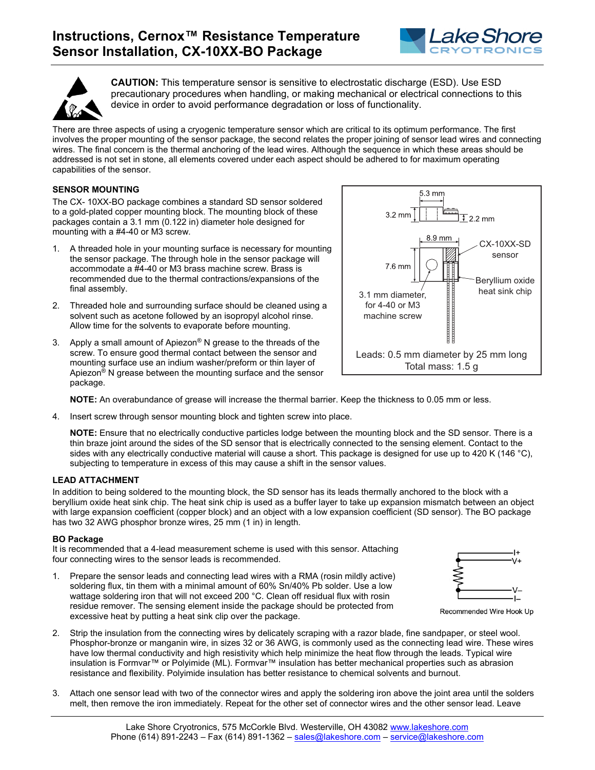



**CAUTION:** This temperature sensor is sensitive to electrostatic discharge (ESD). Use ESD precautionary procedures when handling, or making mechanical or electrical connections to this device in order to avoid performance degradation or loss of functionality.

There are three aspects of using a cryogenic temperature sensor which are critical to its optimum performance. The first involves the proper mounting of the sensor package, the second relates the proper joining of sensor lead wires and connecting wires. The final concern is the thermal anchoring of the lead wires. Although the sequence in which these areas should be addressed is not set in stone, all elements covered under each aspect should be adhered to for maximum operating capabilities of the sensor.

## **SENSOR MOUNTING**

The CX- 10XX-BO package combines a standard SD sensor soldered to a gold-plated copper mounting block. The mounting block of these packages contain a 3.1 mm (0.122 in) diameter hole designed for mounting with a #4-40 or M3 screw.

- 1. A threaded hole in your mounting surface is necessary for mounting the sensor package. The through hole in the sensor package will accommodate a #4-40 or M3 brass machine screw. Brass is recommended due to the thermal contractions/expansions of the final assembly.
- 2. Threaded hole and surrounding surface should be cleaned using a solvent such as acetone followed by an isopropyl alcohol rinse. Allow time for the solvents to evaporate before mounting.
- 3. Apply a small amount of Apiezon® N grease to the threads of the screw. To ensure good thermal contact between the sensor and mounting surface use an indium washer/preform or thin layer of Apiezon<sup>®</sup> N grease between the mounting surface and the sensor package.



**NOTE:** An overabundance of grease will increase the thermal barrier. Keep the thickness to 0.05 mm or less.

4. Insert screw through sensor mounting block and tighten screw into place.

**NOTE:** Ensure that no electrically conductive particles lodge between the mounting block and the SD sensor. There is a thin braze joint around the sides of the SD sensor that is electrically connected to the sensing element. Contact to the sides with any electrically conductive material will cause a short. This package is designed for use up to 420 K (146 °C), subjecting to temperature in excess of this may cause a shift in the sensor values.

## **LEAD ATTACHMENT**

In addition to being soldered to the mounting block, the SD sensor has its leads thermally anchored to the block with a beryllium oxide heat sink chip. The heat sink chip is used as a buffer layer to take up expansion mismatch between an object with large expansion coefficient (copper block) and an object with a low expansion coefficient (SD sensor). The BO package has two 32 AWG phosphor bronze wires, 25 mm (1 in) in length.

## **BO Package**

It is recommended that a 4-lead measurement scheme is used with this sensor. Attaching four connecting wires to the sensor leads is recommended.

1. Prepare the sensor leads and connecting lead wires with a RMA (rosin mildly active) soldering flux, tin them with a minimal amount of 60% Sn/40% Pb solder. Use a low wattage soldering iron that will not exceed 200 °C. Clean off residual flux with rosin residue remover. The sensing element inside the package should be protected from excessive heat by putting a heat sink clip over the package.



Recommended Wire Hook Up

- 2. Strip the insulation from the connecting wires by delicately scraping with a razor blade, fine sandpaper, or steel wool. Phosphor-bronze or manganin wire, in sizes 32 or 36 AWG, is commonly used as the connecting lead wire. These wires have low thermal conductivity and high resistivity which help minimize the heat flow through the leads. Typical wire insulation is Formvar™ or Polyimide (ML). Formvar™ insulation has better mechanical properties such as abrasion resistance and flexibility. Polyimide insulation has better resistance to chemical solvents and burnout.
- 3. Attach one sensor lead with two of the connector wires and apply the soldering iron above the joint area until the solders melt, then remove the iron immediately. Repeat for the other set of connector wires and the other sensor lead. Leave